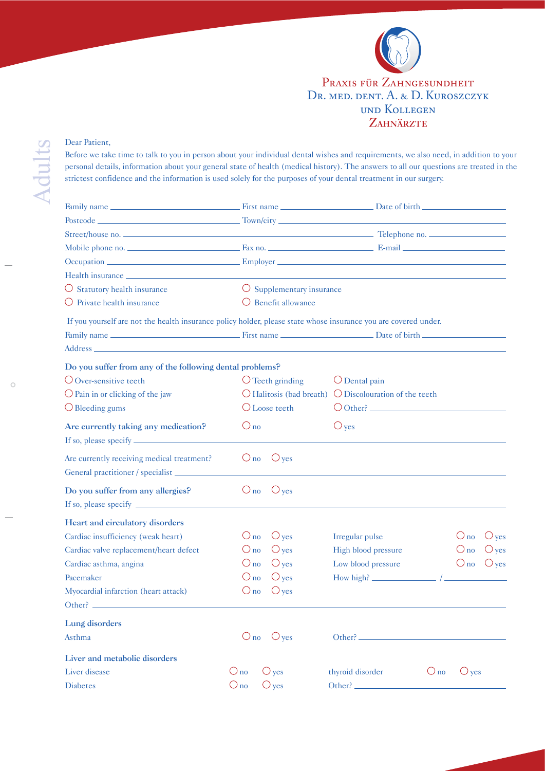

## und Kollegen<br>Zahnärzte Praxis für Zahngesundheit DR. MED. DENT. A. & D. KUROSZCZYK

## Dear Patient,

Before we take time to talk to you in person about your individual dental wishes and requirements, we also need, in addition to your personal details, information about your general state of health (medical history). The answers to all our questions are treated in the strictest confidence and the information is used solely for the purposes of your dental treatment in our surgery.

| Health insurance <u>experience</u> and the contract of the contract of the contract of the contract of the contract of the contract of the contract of the contract of the contract of the contract of the contract of the contract |                                 |                                                                          |  |  |  |  |  |
|-------------------------------------------------------------------------------------------------------------------------------------------------------------------------------------------------------------------------------------|---------------------------------|--------------------------------------------------------------------------|--|--|--|--|--|
| O Statutory health insurance                                                                                                                                                                                                        |                                 | O Supplementary insurance                                                |  |  |  |  |  |
| $\bigcirc$ Private health insurance                                                                                                                                                                                                 | Benefit allowance<br>$\cup$     |                                                                          |  |  |  |  |  |
| If you yourself are not the health insurance policy holder, please state whose insurance you are covered under.                                                                                                                     |                                 |                                                                          |  |  |  |  |  |
|                                                                                                                                                                                                                                     |                                 |                                                                          |  |  |  |  |  |
|                                                                                                                                                                                                                                     |                                 |                                                                          |  |  |  |  |  |
| Do you suffer from any of the following dental problems?                                                                                                                                                                            |                                 |                                                                          |  |  |  |  |  |
| $\bigcirc$ Over-sensitive teeth                                                                                                                                                                                                     | $\bigcirc$ Teeth grinding       | $\bigcirc$ Dental pain                                                   |  |  |  |  |  |
| $\bigcirc$ Pain in or clicking of the jaw                                                                                                                                                                                           |                                 | $\bigcirc$ Halitosis (bad breath) $\bigcirc$ Discolouration of the teeth |  |  |  |  |  |
| $\bigcirc$ Bleeding gums                                                                                                                                                                                                            | O Loose teeth                   | $\bigcirc$ Other?                                                        |  |  |  |  |  |
| Are currently taking any medication?                                                                                                                                                                                                | $\bigcirc$ no                   | $\bigcirc$ yes                                                           |  |  |  |  |  |
|                                                                                                                                                                                                                                     |                                 |                                                                          |  |  |  |  |  |
| Are currently receiving medical treatment?                                                                                                                                                                                          | $\bigcirc$ yes<br>$\bigcirc$ no |                                                                          |  |  |  |  |  |
| General practitioner / specialist __________                                                                                                                                                                                        |                                 |                                                                          |  |  |  |  |  |
| Do you suffer from any allergies?                                                                                                                                                                                                   | $\bigcirc$ no<br>$\bigcirc$ yes |                                                                          |  |  |  |  |  |
|                                                                                                                                                                                                                                     |                                 |                                                                          |  |  |  |  |  |
| Heart and circulatory disorders                                                                                                                                                                                                     |                                 |                                                                          |  |  |  |  |  |
| Cardiac insufficiency (weak heart)                                                                                                                                                                                                  | $\bigcirc$ yes<br>$\bigcirc$ no | $\bigcirc$ no<br>$\bigcirc$ yes<br>Irregular pulse                       |  |  |  |  |  |
| Cardiac valve replacement/heart defect                                                                                                                                                                                              | $\bigcirc$ yes<br>$\bigcirc$ no | $\bigcirc$ no<br>High blood pressure<br>$\bigcirc$ yes                   |  |  |  |  |  |
| Cardiac asthma, angina                                                                                                                                                                                                              | $\bigcirc$ yes<br>$\bigcirc$ no | Low blood pressure<br>$\bigcirc$ no<br>$\bigcirc$ yes                    |  |  |  |  |  |
| Pacemaker                                                                                                                                                                                                                           | $\bigcirc$ yes<br>$\bigcirc$ no | How high?                                                                |  |  |  |  |  |
| Myocardial infarction (heart attack)                                                                                                                                                                                                | $\bigcirc$ yes<br>$\bigcirc$ no |                                                                          |  |  |  |  |  |
|                                                                                                                                                                                                                                     |                                 |                                                                          |  |  |  |  |  |
| Lung disorders                                                                                                                                                                                                                      |                                 |                                                                          |  |  |  |  |  |
| Asthma                                                                                                                                                                                                                              | $\bigcirc$ no $\bigcirc$ yes    |                                                                          |  |  |  |  |  |
| Liver and metabolic disorders                                                                                                                                                                                                       |                                 |                                                                          |  |  |  |  |  |
| Liver disease                                                                                                                                                                                                                       | $\bigcirc$ no<br>$\bigcirc$ yes | $O_{\text{no}}$<br>$\bigcirc$ yes<br>thyroid disorder                    |  |  |  |  |  |
| Diabetes                                                                                                                                                                                                                            | $\bigcirc$ no<br>$\bigcirc$ yes | Other?                                                                   |  |  |  |  |  |